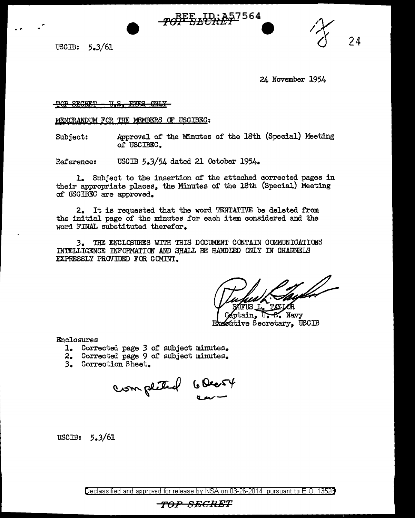TOP BEFALLES

USCIB: 5.3/61

24 November 1954

24

TOP SECRET <del>U.S. EYES</del>

MEMORANDUM FOR THE MEMBERS OF USCIBEC:

Subject: Approval of' the Minutes of the 18th (Special) Meeting of USOIBEO.

Reference: USCIB 5.3/54 dated 21 October 1954.

1. Subject to the insertion of' the attached corrected pages in their appropriate places, the Minutes of the 18th (Special) Meeting of USCIBEC are approved.

2. It is requested that the word TENTATIVE be deleted from the initial page of the minutes for each item considered and the word FINAL substituted therefor.

3. THE ENCLOSURES WITH THIS DOCUMENT CONTAIN COMMUNICATIONS INTELLIGENCE INFORMATION AND SHALL BE HANDLED ONLY IN CHANNELS EXPRESSLY PROVIDED FOR COMINT.

ain, B. Navy *Eutive Secretary, USCIB* 

Enclosures

- 1. Corrected page *3* of subject minutes.
- Corrected page 9 of subject minutes.
- 3. Correction Sheet.

completed 6 Deart

USCIB: 5.3/61

Declassified and approved for release by NSA on 03-26-2014 pursuant to E. 0. 1352B

## *TOP SECRET*